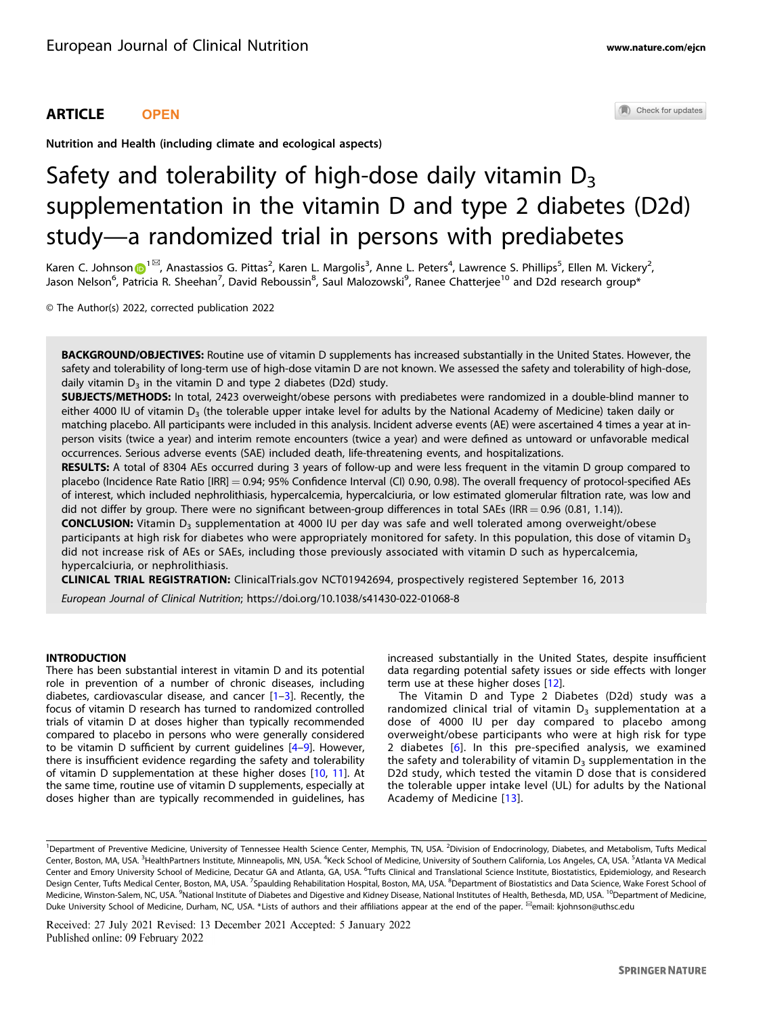# ARTICLE **OPEN**

Check for updates

Nutrition and Health (including climate and ecological aspects)

# Safety and tolerability of high-dose daily vitamin  $D_3$ supplementation in the vitamin D and type 2 diabetes (D2d) study—a randomized trial in persons with prediabetes

Karen C. Johnson D<sup>[1](http://orcid.org/0000-0002-3493-4077)⊠</sup>, Anastassios G. Pittas<sup>2</sup>, Karen L. Margolis<sup>3</sup>, Anne L. Peters<sup>4</sup>, Lawrence S. Phillips<sup>5</sup>, Ellen M. Vickery<sup>2</sup>, Jason Nelson<sup>6</sup>, Patricia R. Sheehan<sup>7</sup>, David Reboussin<sup>8</sup>, Saul Malozowski<sup>9</sup>, Ranee Chatterjee<sup>10</sup> and D2d research group\*

© The Author(s) 2022, corrected publication 2022

BACKGROUND/OBJECTIVES: Routine use of vitamin D supplements has increased substantially in the United States. However, the safety and tolerability of long-term use of high-dose vitamin D are not known. We assessed the safety and tolerability of high-dose, daily vitamin  $D_3$  in the vitamin D and type 2 diabetes (D2d) study.

SUBJECTS/METHODS: In total, 2423 overweight/obese persons with prediabetes were randomized in a double-blind manner to either 4000 IU of vitamin  $D_3$  (the tolerable upper intake level for adults by the National Academy of Medicine) taken daily or matching placebo. All participants were included in this analysis. Incident adverse events (AE) were ascertained 4 times a year at inperson visits (twice a year) and interim remote encounters (twice a year) and were defined as untoward or unfavorable medical occurrences. Serious adverse events (SAE) included death, life-threatening events, and hospitalizations.

RESULTS: A total of 8304 AEs occurred during 3 years of follow-up and were less frequent in the vitamin D group compared to placebo (Incidence Rate Ratio [IRR] = 0.94; 95% Confidence Interval (CI) 0.90, 0.98). The overall frequency of protocol-specified AEs of interest, which included nephrolithiasis, hypercalcemia, hypercalciuria, or low estimated glomerular filtration rate, was low and did not differ by group. There were no significant between-group differences in total SAEs (IRR = 0.96 (0.81, 1.14)).

CONCLUSION: Vitamin D3 supplementation at 4000 IU per day was safe and well tolerated among overweight/obese participants at high risk for diabetes who were appropriately monitored for safety. In this population, this dose of vitamin D<sub>3</sub> did not increase risk of AEs or SAEs, including those previously associated with vitamin D such as hypercalcemia, hypercalciuria, or nephrolithiasis.

CLINICAL TRIAL REGISTRATION: ClinicalTrials.gov NCT01942694, prospectively registered September 16, 2013

European Journal of Clinical Nutrition;<https://doi.org/10.1038/s41430-022-01068-8>

# INTRODUCTION

There has been substantial interest in vitamin D and its potential role in prevention of a number of chronic diseases, including diabetes, cardiovascular disease, and cancer  $[1-3]$  $[1-3]$  $[1-3]$  $[1-3]$ . Recently, the focus of vitamin D research has turned to randomized controlled trials of vitamin D at doses higher than typically recommended compared to placebo in persons who were generally considered to be vitamin D sufficient by current guidelines [\[4](#page-6-0)–[9\]](#page-6-0). However, there is insufficient evidence regarding the safety and tolerability of vitamin D supplementation at these higher doses [\[10,](#page-6-0) [11\]](#page-6-0). At the same time, routine use of vitamin D supplements, especially at doses higher than are typically recommended in guidelines, has increased substantially in the United States, despite insufficient data regarding potential safety issues or side effects with longer term use at these higher doses [\[12](#page-6-0)].

The Vitamin D and Type 2 Diabetes (D2d) study was a randomized clinical trial of vitamin  $D_3$  supplementation at a dose of 4000 IU per day compared to placebo among overweight/obese participants who were at high risk for type 2 diabetes [[6](#page-6-0)]. In this pre-specified analysis, we examined the safety and tolerability of vitamin  $D_3$  supplementation in the D2d study, which tested the vitamin D dose that is considered the tolerable upper intake level (UL) for adults by the National Academy of Medicine [\[13\]](#page-6-0).

<sup>&</sup>lt;sup>1</sup>Department of Preventive Medicine, University of Tennessee Health Science Center, Memphis, TN, USA. <sup>2</sup>Division of Endocrinology, Diabetes, and Metabolism, Tufts Medical Center, Boston, MA, USA. <sup>3</sup>HealthPartners Institute, Minneapolis, MN, USA. <sup>4</sup>Keck School of Medicine, University of Southern California, Los Angeles, CA, USA. <sup>5</sup>Atlanta VA Medical Center and Emory University School of Medicine, Decatur GA and Atlanta, GA, USA. <sup>6</sup>Tufts Clinical and Translational Science Institute, Biostatistics, Epidemiology, and Research Design Center, Tufts Medical Center, Boston, MA, USA. <sup>7</sup>Spaulding Rehabilitation Hospital, Boston, MA, USA. <sup>8</sup>Department of Biostatistics and Data Science, Wake Forest School of Medicine, Winston-Salem, NC, USA. <sup>9</sup>National Institute of Diabetes and Digestive and Kidney Disease, National Institutes of Health, Bethesda, MD, USA. <sup>10</sup>Department of Medicine, Duke University School of Medicine, Durham, NC, USA. \*Lists of authors and their affiliations appear at the end of the paper. <sup>⊠</sup>email: [kjohnson@uthsc.edu](mailto:kjohnson@uthsc.edu)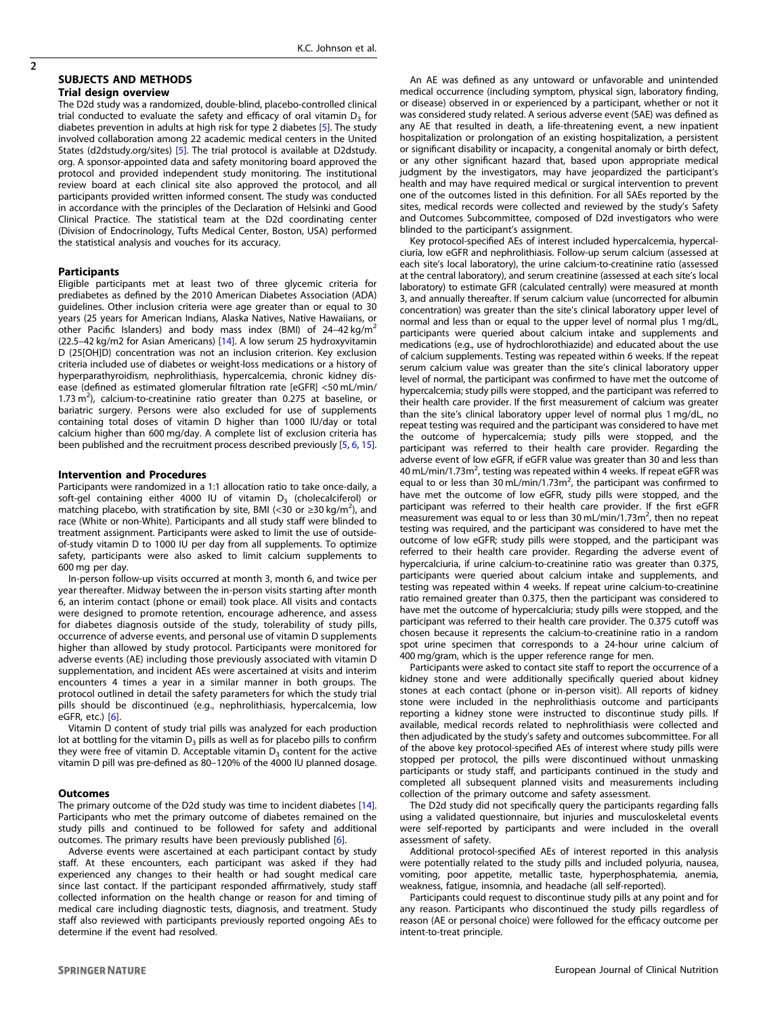#### SUBJECTS AND METHODS Trial design overview

The D2d study was a randomized, double-blind, placebo-controlled clinical trial conducted to evaluate the safety and efficacy of oral vitamin  $D_3$  for diabetes prevention in adults at high risk for type 2 diabetes [[5\]](#page-6-0). The study involved collaboration among 22 academic medical centers in the United States (d2dstudy.org/sites) [[5](#page-6-0)]. The trial protocol is available at D2dstudy. org. A sponsor-appointed data and safety monitoring board approved the protocol and provided independent study monitoring. The institutional review board at each clinical site also approved the protocol, and all participants provided written informed consent. The study was conducted in accordance with the principles of the Declaration of Helsinki and Good Clinical Practice. The statistical team at the D2d coordinating center (Division of Endocrinology, Tufts Medical Center, Boston, USA) performed the statistical analysis and vouches for its accuracy.

#### **Participants**

Eligible participants met at least two of three glycemic criteria for prediabetes as defined by the 2010 American Diabetes Association (ADA) guidelines. Other inclusion criteria were age greater than or equal to 30 years (25 years for American Indians, Alaska Natives, Native Hawaiians, or other Pacific Islanders) and body mass index (BMI) of  $24-42$  kg/m<sup>2</sup> (22.5–42 kg/m2 for Asian Americans) [\[14](#page-6-0)]. A low serum 25 hydroxyvitamin D (25[OH]D) concentration was not an inclusion criterion. Key exclusion criteria included use of diabetes or weight-loss medications or a history of hyperparathyroidism, nephrolithiasis, hypercalcemia, chronic kidney disease (defined as estimated glomerular filtration rate [eGFR] <50 mL/min/ 1.73  $\text{m}^2$ ), calcium-to-creatinine ratio greater than 0.275 at baseline, or bariatric surgery. Persons were also excluded for use of supplements containing total doses of vitamin D higher than 1000 IU/day or total calcium higher than 600 mg/day. A complete list of exclusion criteria has been published and the recruitment process described previously [\[5](#page-6-0), [6](#page-6-0), [15\]](#page-6-0).

#### Intervention and Procedures

Participants were randomized in a 1:1 allocation ratio to take once-daily, a soft-gel containing either 4000 IU of vitamin  $D_3$  (cholecalciferol) or matching placebo, with stratification by site, BMI (<30 or  $\geq$ 30 kg/m<sup>2</sup>), and race (White or non-White). Participants and all study staff were blinded to treatment assignment. Participants were asked to limit the use of outsideof-study vitamin D to 1000 IU per day from all supplements. To optimize safety, participants were also asked to limit calcium supplements to 600 mg per day.

In-person follow-up visits occurred at month 3, month 6, and twice per year thereafter. Midway between the in-person visits starting after month 6, an interim contact (phone or email) took place. All visits and contacts were designed to promote retention, encourage adherence, and assess for diabetes diagnosis outside of the study, tolerability of study pills, occurrence of adverse events, and personal use of vitamin D supplements higher than allowed by study protocol. Participants were monitored for adverse events (AE) including those previously associated with vitamin D supplementation, and incident AEs were ascertained at visits and interim encounters 4 times a year in a similar manner in both groups. The protocol outlined in detail the safety parameters for which the study trial pills should be discontinued (e.g., nephrolithiasis, hypercalcemia, low eGFR, etc.) [\[6](#page-6-0)].

Vitamin D content of study trial pills was analyzed for each production lot at bottling for the vitamin  $D_3$  pills as well as for placebo pills to confirm they were free of vitamin D. Acceptable vitamin  $D_3$  content for the active vitamin D pill was pre-defined as 80–120% of the 4000 IU planned dosage.

#### **Outcomes**

The primary outcome of the D2d study was time to incident diabetes [\[14\]](#page-6-0). Participants who met the primary outcome of diabetes remained on the study pills and continued to be followed for safety and additional outcomes. The primary results have been previously published [\[6](#page-6-0)].

Adverse events were ascertained at each participant contact by study staff. At these encounters, each participant was asked if they had experienced any changes to their health or had sought medical care since last contact. If the participant responded affirmatively, study staff collected information on the health change or reason for and timing of medical care including diagnostic tests, diagnosis, and treatment. Study staff also reviewed with participants previously reported ongoing AEs to determine if the event had resolved.

An AE was defined as any untoward or unfavorable and unintended medical occurrence (including symptom, physical sign, laboratory finding, or disease) observed in or experienced by a participant, whether or not it was considered study related. A serious adverse event (SAE) was defined as any AE that resulted in death, a life-threatening event, a new inpatient hospitalization or prolongation of an existing hospitalization, a persistent or significant disability or incapacity, a congenital anomaly or birth defect, or any other significant hazard that, based upon appropriate medical judgment by the investigators, may have jeopardized the participant's health and may have required medical or surgical intervention to prevent one of the outcomes listed in this definition. For all SAEs reported by the sites, medical records were collected and reviewed by the study's Safety and Outcomes Subcommittee, composed of D2d investigators who were blinded to the participant's assignment.

Key protocol-specified AEs of interest included hypercalcemia, hypercalciuria, low eGFR and nephrolithiasis. Follow-up serum calcium (assessed at each site's local laboratory), the urine calcium-to-creatinine ratio (assessed at the central laboratory), and serum creatinine (assessed at each site's local laboratory) to estimate GFR (calculated centrally) were measured at month 3, and annually thereafter. If serum calcium value (uncorrected for albumin concentration) was greater than the site's clinical laboratory upper level of normal and less than or equal to the upper level of normal plus 1 mg/dL, participants were queried about calcium intake and supplements and medications (e.g., use of hydrochlorothiazide) and educated about the use of calcium supplements. Testing was repeated within 6 weeks. If the repeat serum calcium value was greater than the site's clinical laboratory upper level of normal, the participant was confirmed to have met the outcome of hypercalcemia; study pills were stopped, and the participant was referred to their health care provider. If the first measurement of calcium was greater than the site's clinical laboratory upper level of normal plus 1 mg/dL, no repeat testing was required and the participant was considered to have met the outcome of hypercalcemia; study pills were stopped, and the participant was referred to their health care provider. Regarding the adverse event of low eGFR, if eGFR value was greater than 30 and less than 40 mL/min/1.73m<sup>2</sup>, testing was repeated within 4 weeks. If repeat eGFR was equal to or less than 30 mL/min/1.73m<sup>2</sup>, the participant was confirmed to have met the outcome of low eGFR, study pills were stopped, and the participant was referred to their health care provider. If the first eGFR measurement was equal to or less than 30 mL/min/1.73m<sup>2</sup>, then no repeat testing was required, and the participant was considered to have met the outcome of low eGFR; study pills were stopped, and the participant was referred to their health care provider. Regarding the adverse event of hypercalciuria, if urine calcium-to-creatinine ratio was greater than 0.375, participants were queried about calcium intake and supplements, and testing was repeated within 4 weeks. If repeat urine calcium-to-creatinine ratio remained greater than 0.375, then the participant was considered to have met the outcome of hypercalciuria; study pills were stopped, and the participant was referred to their health care provider. The 0.375 cutoff was chosen because it represents the calcium-to-creatinine ratio in a random spot urine specimen that corresponds to a 24-hour urine calcium of 400 mg/gram, which is the upper reference range for men.

Participants were asked to contact site staff to report the occurrence of a kidney stone and were additionally specifically queried about kidney stones at each contact (phone or in-person visit). All reports of kidney stone were included in the nephrolithiasis outcome and participants reporting a kidney stone were instructed to discontinue study pills. If available, medical records related to nephrolithiasis were collected and then adjudicated by the study's safety and outcomes subcommittee. For all of the above key protocol-specified AEs of interest where study pills were stopped per protocol, the pills were discontinued without unmasking participants or study staff, and participants continued in the study and completed all subsequent planned visits and measurements including collection of the primary outcome and safety assessment.

The D2d study did not specifically query the participants regarding falls using a validated questionnaire, but injuries and musculoskeletal events were self-reported by participants and were included in the overall assessment of safety.

Additional protocol-specified AEs of interest reported in this analysis were potentially related to the study pills and included polyuria, nausea, vomiting, poor appetite, metallic taste, hyperphosphatemia, anemia, weakness, fatigue, insomnia, and headache (all self-reported).

Participants could request to discontinue study pills at any point and for any reason. Participants who discontinued the study pills regardless of reason (AE or personal choice) were followed for the efficacy outcome per intent-to-treat principle.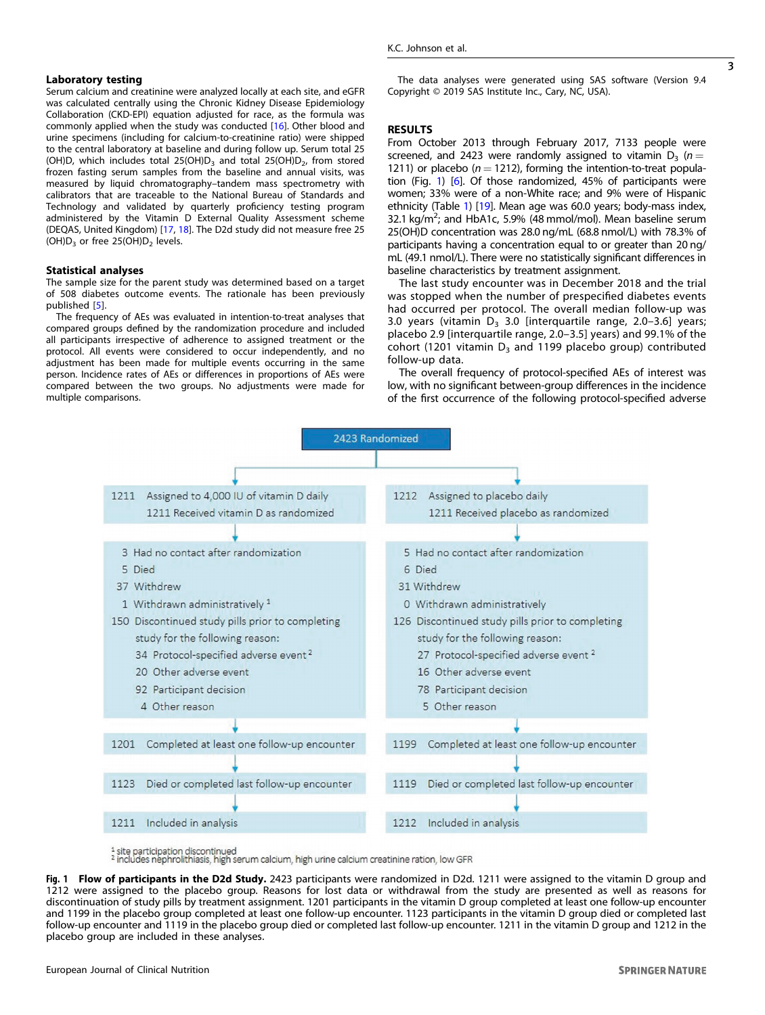### Laboratory testing

Serum calcium and creatinine were analyzed locally at each site, and eGFR was calculated centrally using the Chronic Kidney Disease Epidemiology Collaboration (CKD-EPI) equation adjusted for race, as the formula was commonly applied when the study was conducted [\[16](#page-6-0)]. Other blood and urine specimens (including for calcium-to-creatinine ratio) were shipped to the central laboratory at baseline and during follow up. Serum total 25 (OH)D, which includes total 25(OH)D<sub>3</sub> and total 25(OH)D<sub>2</sub>, from stored frozen fasting serum samples from the baseline and annual visits, was measured by liquid chromatography–tandem mass spectrometry with calibrators that are traceable to the National Bureau of Standards and Technology and validated by quarterly proficiency testing program administered by the Vitamin D External Quality Assessment scheme (DEQAS, United Kingdom) [\[17](#page-6-0), [18](#page-6-0)]. The D2d study did not measure free 25  $(OH)D_3$  or free 25 $(OH)D_2$  levels.

#### Statistical analyses

The sample size for the parent study was determined based on a target of 508 diabetes outcome events. The rationale has been previously published [[5\]](#page-6-0).

The frequency of AEs was evaluated in intention-to-treat analyses that compared groups defined by the randomization procedure and included all participants irrespective of adherence to assigned treatment or the protocol. All events were considered to occur independently, and no adjustment has been made for multiple events occurring in the same person. Incidence rates of AEs or differences in proportions of AEs were compared between the two groups. No adjustments were made for multiple comparisons.

The data analyses were generated using SAS software (Version 9.4 Copyright © 2019 SAS Institute Inc., Cary, NC, USA).

#### **RESULTS**

From October 2013 through February 2017, 7133 people were screened, and 2423 were randomly assigned to vitamin  $D_3$  ( $n =$ 1211) or placebo ( $n = 1212$ ), forming the intention-to-treat population (Fig. 1) [\[6\]](#page-6-0). Of those randomized, 45% of participants were women; 33% were of a non-White race; and 9% were of Hispanic ethnicity (Table [1](#page-3-0)) [\[19\]](#page-6-0). Mean age was 60.0 years; body-mass index, 32.1 kg/m<sup>2</sup>; and HbA1c, 5.9% (48 mmol/mol). Mean baseline serum 25(OH)D concentration was 28.0 ng/mL (68.8 nmol/L) with 78.3% of participants having a concentration equal to or greater than 20 ng/ mL (49.1 nmol/L). There were no statistically significant differences in baseline characteristics by treatment assignment.

The last study encounter was in December 2018 and the trial was stopped when the number of prespecified diabetes events had occurred per protocol. The overall median follow-up was 3.0 years (vitamin  $D_3$  3.0 [interquartile range, 2.0–3.6] years; placebo 2.9 [interquartile range, 2.0–3.5] years) and 99.1% of the cohort (1201 vitamin  $D_3$  and 1199 placebo group) contributed follow-up data.

The overall frequency of protocol-specified AEs of interest was low, with no significant between-group differences in the incidence of the first occurrence of the following protocol-specified adverse



Fig. 1 Flow of participants in the D2d Study. 2423 participants were randomized in D2d. 1211 were assigned to the vitamin D group and 1212 were assigned to the placebo group. Reasons for lost data or withdrawal from the study are presented as well as reasons for discontinuation of study pills by treatment assignment. 1201 participants in the vitamin D group completed at least one follow-up encounter and 1199 in the placebo group completed at least one follow-up encounter. 1123 participants in the vitamin D group died or completed last follow-up encounter and 1119 in the placebo group died or completed last follow-up encounter. 1211 in the vitamin D group and 1212 in the placebo group are included in these analyses.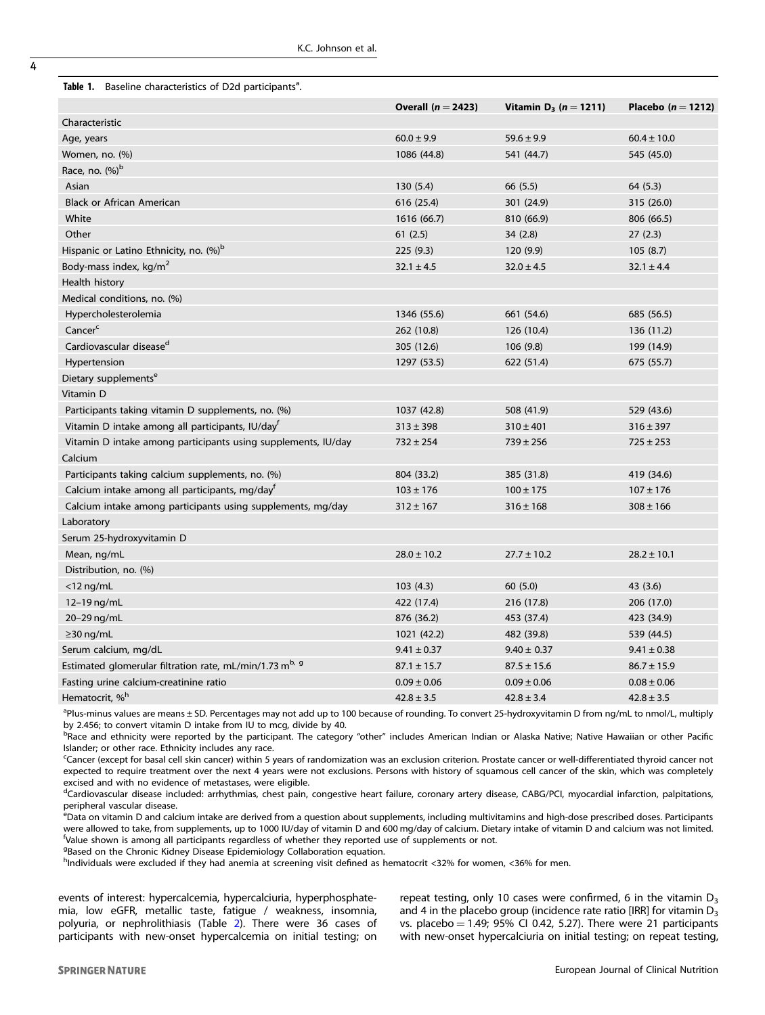<span id="page-3-0"></span>

| Table 1. Baseline characteristics of D2d participants <sup>a</sup> . |
|----------------------------------------------------------------------|
|                                                                      |

|                                                                     | Overall $(n = 2423)$ | Vitamin D <sub>3</sub> ( $n = 1211$ ) | Placebo ( $n = 1212$ ) |  |
|---------------------------------------------------------------------|----------------------|---------------------------------------|------------------------|--|
| Characteristic                                                      |                      |                                       |                        |  |
| Age, years                                                          | $60.0 \pm 9.9$       | $59.6 \pm 9.9$                        | $60.4 \pm 10.0$        |  |
| Women, no. (%)                                                      | 1086 (44.8)          | 541 (44.7)                            | 545 (45.0)             |  |
| Race, no. $(\%)^b$                                                  |                      |                                       |                        |  |
| Asian                                                               | 130 (5.4)            | 66 (5.5)                              | 64 (5.3)               |  |
| <b>Black or African American</b>                                    | 616 (25.4)           | 301 (24.9)                            | 315 (26.0)             |  |
| White                                                               | 1616 (66.7)          | 810 (66.9)                            | 806 (66.5)             |  |
| Other                                                               | 61(2.5)              | 34(2.8)                               | 27(2.3)                |  |
| Hispanic or Latino Ethnicity, no. (%) <sup>b</sup>                  | 225 (9.3)            | 120 (9.9)                             | 105(8.7)               |  |
| Body-mass index, kg/m <sup>2</sup>                                  | $32.1 \pm 4.5$       | $32.0 \pm 4.5$                        | $32.1 \pm 4.4$         |  |
| Health history                                                      |                      |                                       |                        |  |
| Medical conditions, no. (%)                                         |                      |                                       |                        |  |
| Hypercholesterolemia                                                | 1346 (55.6)          | 661 (54.6)                            | 685 (56.5)             |  |
| Cancer <sup>c</sup>                                                 | 262 (10.8)           | 126 (10.4)                            | 136 (11.2)             |  |
| Cardiovascular disease <sup>d</sup>                                 | 305 (12.6)           | 106(9.8)                              | 199 (14.9)             |  |
| Hypertension                                                        | 1297 (53.5)          | 622 (51.4)                            | 675 (55.7)             |  |
| Dietary supplements <sup>e</sup>                                    |                      |                                       |                        |  |
| Vitamin D                                                           |                      |                                       |                        |  |
| Participants taking vitamin D supplements, no. (%)                  | 1037 (42.8)          | 508 (41.9)                            | 529 (43.6)             |  |
| Vitamin D intake among all participants, IU/day <sup>f</sup>        | $313 \pm 398$        | $310 \pm 401$                         | $316 \pm 397$          |  |
| Vitamin D intake among participants using supplements, IU/day       | $732 \pm 254$        | $739 \pm 256$                         | $725 \pm 253$          |  |
| Calcium                                                             |                      |                                       |                        |  |
| Participants taking calcium supplements, no. (%)                    | 804 (33.2)           | 385 (31.8)                            | 419 (34.6)             |  |
| Calcium intake among all participants, mg/dayf                      | $103 \pm 176$        | $100 \pm 175$                         | $107 \pm 176$          |  |
| Calcium intake among participants using supplements, mg/day         | $312 \pm 167$        | $316 \pm 168$                         | $308 \pm 166$          |  |
| Laboratory                                                          |                      |                                       |                        |  |
| Serum 25-hydroxyvitamin D                                           |                      |                                       |                        |  |
| Mean, ng/mL                                                         | $28.0 \pm 10.2$      | $27.7 \pm 10.2$                       | $28.2 \pm 10.1$        |  |
| Distribution, no. (%)                                               |                      |                                       |                        |  |
| $<$ 12 ng/mL                                                        | 103(4.3)             | 60(5.0)                               | 43 (3.6)               |  |
| 12-19 ng/mL                                                         | 422 (17.4)           | 216 (17.8)                            | 206 (17.0)             |  |
| 20-29 ng/mL                                                         | 876 (36.2)           | 453 (37.4)                            | 423 (34.9)             |  |
| $\geq$ 30 ng/mL                                                     | 1021 (42.2)          | 482 (39.8)                            | 539 (44.5)             |  |
| Serum calcium, mg/dL                                                | $9.41 \pm 0.37$      | $9.40 \pm 0.37$                       | $9.41 \pm 0.38$        |  |
| Estimated glomerular filtration rate, mL/min/1.73 m <sup>b, 9</sup> | $87.1 \pm 15.7$      | $87.5 \pm 15.6$                       | $86.7 \pm 15.9$        |  |
| Fasting urine calcium-creatinine ratio                              | $0.09 \pm 0.06$      | $0.09 \pm 0.06$                       | $0.08 \pm 0.06$        |  |
| Hematocrit, % <sup>h</sup>                                          | $42.8 \pm 3.5$       | $42.8 \pm 3.4$                        | $42.8 \pm 3.5$         |  |

<sup>a</sup>Plus-minus values are means ± SD. Percentages may not add up to 100 because of rounding. To convert 25-hydroxyvitamin D from ng/mL to nmol/L, multiply by 2.456; to convert vitamin D intake from IU to mcg, divide by 40.

bRace and ethnicity were reported by the participant. The category "other" includes American Indian or Alaska Native; Native Hawaiian or other Pacific Islander; or other race. Ethnicity includes any race.

<sup>c</sup>Cancer (except for basal cell skin cancer) within 5 years of randomization was an exclusion criterion. Prostate cancer or well-differentiated thyroid cancer not expected to require treatment over the next 4 years were not exclusions. Persons with history of squamous cell cancer of the skin, which was completely excised and with no evidence of metastases, were eligible.

dCardiovascular disease included: arrhythmias, chest pain, congestive heart failure, coronary artery disease, CABG/PCI, myocardial infarction, palpitations, peripheral vascular disease.

<sup>e</sup>Data on vitamin D and calcium intake are derived from a question about supplements, including multivitamins and high-dose prescribed doses. Participants were allowed to take, from supplements, up to 1000 IU/day of vitamin D and 600 mg/day of calcium. Dietary intake of vitamin D and calcium was not limited. f Value shown is among all participants regardless of whether they reported use of supplements or not.

<sup>g</sup>Based on the Chronic Kidney Disease Epidemiology Collaboration equation.

h<sub>individuals were excluded if they had anemia at screening visit defined as hematocrit <32% for women, <36% for men.</sub>

events of interest: hypercalcemia, hypercalciuria, hyperphosphatemia, low eGFR, metallic taste, fatigue / weakness, insomnia, polyuria, or nephrolithiasis (Table [2\)](#page-4-0). There were 36 cases of participants with new-onset hypercalcemia on initial testing; on

repeat testing, only 10 cases were confirmed, 6 in the vitamin  $D_3$ and 4 in the placebo group (incidence rate ratio [IRR] for vitamin  $D_3$ vs. placebo  $= 1.49$ ; 95% CI 0.42, 5.27). There were 21 participants with new-onset hypercalciuria on initial testing; on repeat testing,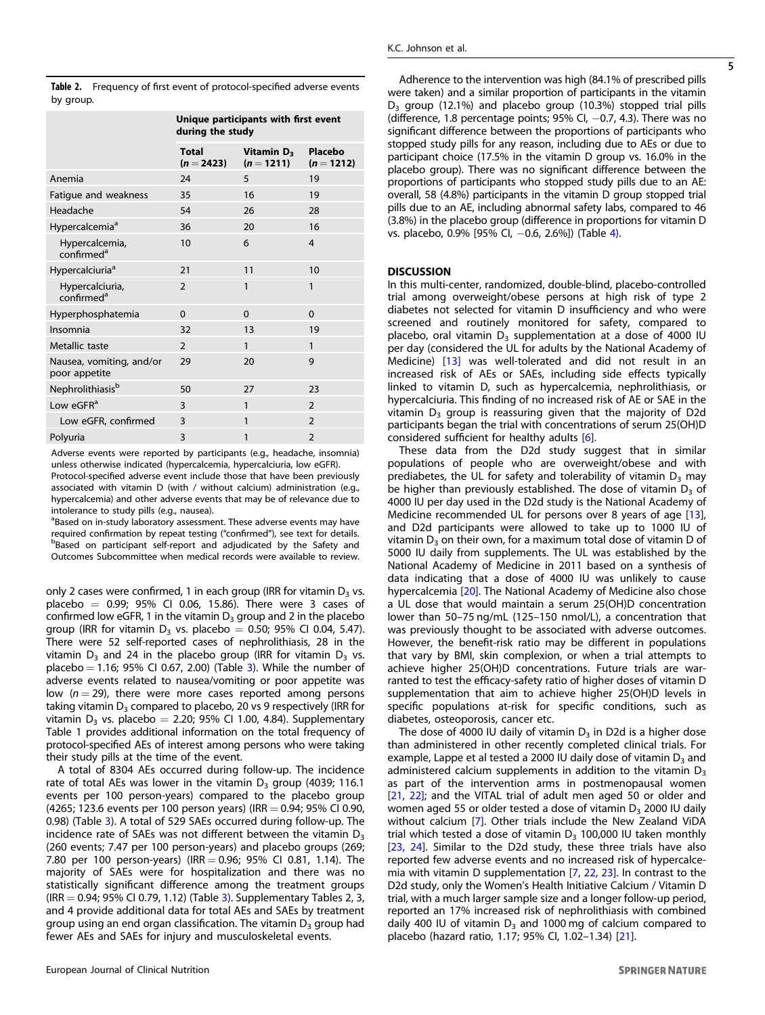<span id="page-4-0"></span>

|           | Table 2. Frequency of first event of protocol-specified adverse events |
|-----------|------------------------------------------------------------------------|
| by group. |                                                                        |

|                                           | Unique participants with first event<br>during the study |                                        |                         |  |
|-------------------------------------------|----------------------------------------------------------|----------------------------------------|-------------------------|--|
|                                           | <b>Total</b><br>$(n = 2423)$                             | Vitamin D <sub>3</sub><br>$(n = 1211)$ | Placebo<br>$(n = 1212)$ |  |
| Anemia                                    | 24                                                       | 5                                      | 19                      |  |
| Fatigue and weakness                      | 35                                                       | 16                                     | 19                      |  |
| Headache                                  | 54                                                       | 26                                     | 28                      |  |
| Hypercalcemia <sup>a</sup>                | 36                                                       | 20                                     | 16                      |  |
| Hypercalcemia,<br>confirmed <sup>a</sup>  | 10                                                       | 6                                      | 4                       |  |
| Hypercalciuria <sup>a</sup>               | 21                                                       | 11                                     | 10                      |  |
| Hypercalciuria,<br>confirmed <sup>a</sup> | $\mathfrak{D}$                                           | 1                                      | $\mathbf{1}$            |  |
| Hyperphosphatemia                         | $\Omega$                                                 | $\Omega$                               | $\Omega$                |  |
| Insomnia                                  | 32                                                       | 13                                     | 19                      |  |
| Metallic taste                            | $\mathcal{P}$                                            | $\mathbf{1}$                           | 1                       |  |
| Nausea, vomiting, and/or<br>poor appetite | 29                                                       | 20                                     | 9                       |  |
| Nephrolithiasis <sup>b</sup>              | 50                                                       | 27                                     | 23                      |  |
| Low $e$ GFR <sup>a</sup>                  | 3                                                        | 1                                      | $\mathcal{P}$           |  |
| Low eGFR, confirmed                       | 3                                                        | 1                                      | $\mathcal{P}$           |  |
| Polyuria                                  | 3                                                        | 1                                      | $\overline{2}$          |  |
|                                           |                                                          |                                        |                         |  |

Adverse events were reported by participants (e.g., headache, insomnia) unless otherwise indicated (hypercalcemia, hypercalciuria, low eGFR). Protocol-specified adverse event include those that have been previously associated with vitamin D (with / without calcium) administration (e.g., hypercalcemia) and other adverse events that may be of relevance due to intolerance to study pills (e.g., nausea).

<sup>a</sup>Based on in-study laboratory assessment. These adverse events may have required confirmation by repeat testing ("confirmed"), see text for details. bBased on participant self-report and adjudicated by the Safety and Outcomes Subcommittee when medical records were available to review.

only 2 cases were confirmed, 1 in each group (IRR for vitamin  $D_3$  vs. placebo =  $0.99$ ;  $95\%$  CI 0.06, 15.86). There were 3 cases of confirmed low eGFR, 1 in the vitamin  $D_3$  group and 2 in the placebo group (IRR for vitamin  $D_3$  vs. placebo = 0.50; 95% CI 0.04, 5.47). There were 52 self-reported cases of nephrolithiasis, 28 in the vitamin  $D_3$  and 24 in the placebo group (IRR for vitamin  $D_3$  vs. placebo = 1.16; 95% CI 0.67, 2.00) (Table [3\)](#page-5-0). While the number of adverse events related to nausea/vomiting or poor appetite was low  $(n = 29)$ , there were more cases reported among persons taking vitamin  $D_3$  compared to placebo, 20 vs 9 respectively (IRR for vitamin  $D_3$  vs. placebo = 2.20; 95% CI 1.00, 4.84). Supplementary Table 1 provides additional information on the total frequency of protocol-specified AEs of interest among persons who were taking their study pills at the time of the event.

A total of 8304 AEs occurred during follow-up. The incidence rate of total AEs was lower in the vitamin  $D_3$  group (4039; 116.1 events per 100 person-years) compared to the placebo group  $(4265; 123.6$  events per 100 person years) (IRR = 0.94; 95% CI 0.90, 0.98) (Table [3](#page-5-0)). A total of 529 SAEs occurred during follow-up. The incidence rate of SAEs was not different between the vitamin  $D_3$ (260 events; 7.47 per 100 person-years) and placebo groups (269; 7.80 per 100 person-years) (IRR = 0.96; 95% CI 0.81, 1.14). The majority of SAEs were for hospitalization and there was no statistically significant difference among the treatment groups  $(IRR = 0.94; 95\% \text{ CI } 0.79, 1.12)$  (Table [3](#page-5-0)). Supplementary Tables 2, 3, and 4 provide additional data for total AEs and SAEs by treatment group using an end organ classification. The vitamin  $D_3$  group had fewer AEs and SAEs for injury and musculoskeletal events.

Adherence to the intervention was high (84.1% of prescribed pills were taken) and a similar proportion of participants in the vitamin D<sub>3</sub> group (12.1%) and placebo group (10.3%) stopped trial pills (difference, 1.8 percentage points;  $95\%$  CI,  $-0.7$ , 4.3). There was no significant difference between the proportions of participants who stopped study pills for any reason, including due to AEs or due to participant choice (17.5% in the vitamin D group vs. 16.0% in the placebo group). There was no significant difference between the proportions of participants who stopped study pills due to an AE: overall, 58 (4.8%) participants in the vitamin D group stopped trial pills due to an AE, including abnormal safety labs, compared to 46 (3.8%) in the placebo group (difference in proportions for vitamin D vs. placebo, 0.9% [95% CI, −0.6, 2.6%]) (Table [4\)](#page-5-0).

# **DISCUSSION**

In this multi‐center, randomized, double-blind, placebo‐controlled trial among overweight/obese persons at high risk of type 2 diabetes not selected for vitamin D insufficiency and who were screened and routinely monitored for safety, compared to placebo, oral vitamin  $D_3$  supplementation at a dose of 4000 IU per day (considered the UL for adults by the National Academy of Medicine) [\[13](#page-6-0)] was well-tolerated and did not result in an increased risk of AEs or SAEs, including side effects typically linked to vitamin D, such as hypercalcemia, nephrolithiasis, or hypercalciuria. This finding of no increased risk of AE or SAE in the vitamin  $D_3$  group is reassuring given that the majority of D2d participants began the trial with concentrations of serum 25(OH)D considered sufficient for healthy adults [[6](#page-6-0)].

These data from the D2d study suggest that in similar populations of people who are overweight/obese and with prediabetes, the UL for safety and tolerability of vitamin  $D_3$  may be higher than previously established. The dose of vitamin  $D_3$  of 4000 IU per day used in the D2d study is the National Academy of Medicine recommended UL for persons over 8 years of age [\[13\]](#page-6-0), and D2d participants were allowed to take up to 1000 IU of vitamin  $D_3$  on their own, for a maximum total dose of vitamin D of 5000 IU daily from supplements. The UL was established by the National Academy of Medicine in 2011 based on a synthesis of data indicating that a dose of 4000 IU was unlikely to cause hypercalcemia [\[20](#page-6-0)]. The National Academy of Medicine also chose a UL dose that would maintain a serum 25(OH)D concentration lower than 50–75 ng/mL (125–150 nmol/L), a concentration that was previously thought to be associated with adverse outcomes. However, the benefit-risk ratio may be different in populations that vary by BMI, skin complexion, or when a trial attempts to achieve higher 25(OH)D concentrations. Future trials are warranted to test the efficacy-safety ratio of higher doses of vitamin D supplementation that aim to achieve higher 25(OH)D levels in specific populations at-risk for specific conditions, such as diabetes, osteoporosis, cancer etc.

The dose of 4000 IU daily of vitamin  $D_3$  in D2d is a higher dose than administered in other recently completed clinical trials. For example, Lappe et al tested a 2000 IU daily dose of vitamin  $D_3$  and administered calcium supplements in addition to the vitamin  $D_3$ as part of the intervention arms in postmenopausal women [\[21,](#page-6-0) [22](#page-6-0)]; and the VITAL trial of adult men aged 50 or older and women aged 55 or older tested a dose of vitamin  $D_3$  2000 IU daily without calcium [[7](#page-6-0)]. Other trials include the New Zealand ViDA trial which tested a dose of vitamin  $D_3$  100,000 IU taken monthly [\[23,](#page-6-0) [24\]](#page-6-0). Similar to the D2d study, these three trials have also reported few adverse events and no increased risk of hypercalcemia with vitamin D supplementation [[7](#page-6-0), [22,](#page-6-0) [23\]](#page-6-0). In contrast to the D2d study, only the Women's Health Initiative Calcium / Vitamin D trial, with a much larger sample size and a longer follow-up period, reported an 17% increased risk of nephrolithiasis with combined daily 400 IU of vitamin  $D_3$  and 1000 mg of calcium compared to placebo (hazard ratio, 1.17; 95% CI, 1.02–1.34) [\[21](#page-6-0)].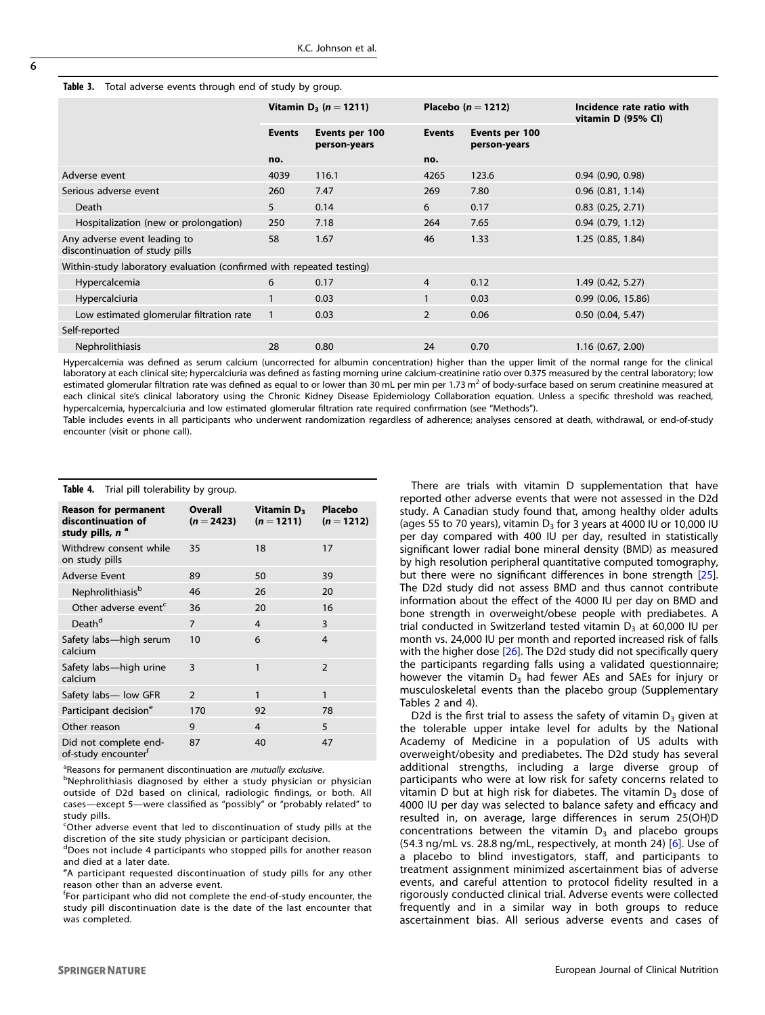<span id="page-5-0"></span>

| <b>Table 3.</b> Total adverse events through end of study by group. |  |  |  |
|---------------------------------------------------------------------|--|--|--|
|                                                                     |  |  |  |

|                                                                      | Vitamin D <sub>3</sub> ( $n = 1211$ ) |                                | Placebo ( $n = 1212$ ) |                                | Incidence rate ratio with<br>vitamin D (95% CI) |  |
|----------------------------------------------------------------------|---------------------------------------|--------------------------------|------------------------|--------------------------------|-------------------------------------------------|--|
|                                                                      | <b>Events</b>                         | Events per 100<br>person-years | <b>Events</b>          | Events per 100<br>person-years |                                                 |  |
|                                                                      | no.                                   |                                | no.                    |                                |                                                 |  |
| Adverse event                                                        | 4039                                  | 116.1                          | 4265                   | 123.6                          | $0.94$ (0.90, 0.98)                             |  |
| Serious adverse event                                                | 260                                   | 7.47                           | 269                    | 7.80                           | $0.96$ $(0.81, 1.14)$                           |  |
| Death                                                                | 5                                     | 0.14                           | 6                      | 0.17                           | $0.83$ $(0.25, 2.71)$                           |  |
| Hospitalization (new or prolongation)                                | 250                                   | 7.18                           | 264                    | 7.65                           | 0.94(0.79, 1.12)                                |  |
| Any adverse event leading to<br>discontinuation of study pills       | 58                                    | 1.67                           | 46                     | 1.33                           | 1.25 (0.85, 1.84)                               |  |
| Within-study laboratory evaluation (confirmed with repeated testing) |                                       |                                |                        |                                |                                                 |  |
| Hypercalcemia                                                        | 6                                     | 0.17                           | $\overline{4}$         | 0.12                           | 1.49(0.42, 5.27)                                |  |
| Hypercalciuria                                                       |                                       | 0.03                           | $\mathbf{1}$           | 0.03                           | 0.99(0.06, 15.86)                               |  |
| Low estimated glomerular filtration rate                             | $\mathbf{1}$                          | 0.03                           | $\overline{2}$         | 0.06                           | $0.50$ (0.04, 5.47)                             |  |
| Self-reported                                                        |                                       |                                |                        |                                |                                                 |  |
| <b>Nephrolithiasis</b>                                               | 28                                    | 0.80                           | 24                     | 0.70                           | 1.16(0.67, 2.00)                                |  |
|                                                                      |                                       |                                |                        |                                |                                                 |  |

Hypercalcemia was defined as serum calcium (uncorrected for albumin concentration) higher than the upper limit of the normal range for the clinical laboratory at each clinical site; hypercalciuria was defined as fasting morning urine calcium-creatinine ratio over 0.375 measured by the central laboratory; low estimated glomerular filtration rate was defined as equal to or lower than 30 mL per min per 1.73 m<sup>2</sup> of body-surface based on serum creatinine measured at each clinical site's clinical laboratory using the Chronic Kidney Disease Epidemiology Collaboration equation. Unless a specific threshold was reached, hypercalcemia, hypercalciuria and low estimated glomerular filtration rate required confirmation (see "Methods").

Table includes events in all participants who underwent randomization regardless of adherence; analyses censored at death, withdrawal, or end-of-study encounter (visit or phone call).

| <b>Table 4.</b> That plit tolerability by group.                                 |                                |                                        |                       |  |  |
|----------------------------------------------------------------------------------|--------------------------------|----------------------------------------|-----------------------|--|--|
| <b>Reason for permanent</b><br>discontinuation of<br>study pills, n <sup>a</sup> | <b>Overall</b><br>$(n = 2423)$ | Vitamin D <sub>3</sub><br>$(n = 1211)$ | Placebo<br>$(n=1212)$ |  |  |
| Withdrew consent while<br>on study pills                                         | 35                             | 18                                     | 17                    |  |  |
| <b>Adverse Event</b>                                                             | 89                             | 50                                     | 39                    |  |  |
| Nephrolithiasis <sup>b</sup>                                                     | 46                             | 26                                     | 20                    |  |  |
| Other adverse event <sup>c</sup>                                                 | 36                             | 20                                     | 16                    |  |  |
| Death <sup>d</sup>                                                               | $\overline{7}$                 | 4                                      | 3                     |  |  |
| Safety labs-high serum<br>calcium                                                | 10                             | 6                                      | $\overline{4}$        |  |  |
| Safety labs-high urine<br>calcium                                                | 3                              | 1                                      | $\overline{2}$        |  |  |
| Safety labs-low GFR                                                              | 2                              | 1                                      | $\mathbf{1}$          |  |  |
| Participant decision <sup>e</sup>                                                | 170                            | 92                                     | 78                    |  |  |
| Other reason                                                                     | 9                              | 4                                      | 5                     |  |  |
| Did not complete end-<br>of-study encounter <sup>f</sup>                         | 87                             | 40                                     | 47                    |  |  |

Table 4. Trial pill tolerability by group.

<sup>a</sup>Reasons for permanent discontinuation are *mutually exclusive*.<br><sup>b</sup>Nephrolithiasis, diagnosed, by either a study physician of

bNephrolithiasis diagnosed by either a study physician or physician outside of D2d based on clinical, radiologic findings, or both. All cases—except 5—were classified as "possibly" or "probably related" to study pills.

<sup>c</sup>Other adverse event that led to discontinuation of study pills at the discretion of the site study physician or participant decision.

Does not include 4 participants who stopped pills for another reason and died at a later date.

<sup>e</sup>A participant requested discontinuation of study pills for any other reason other than an adverse event.

<sup>f</sup>For participant who did not complete the end-of-study encounter, the study pill discontinuation date is the date of the last encounter that was completed.

There are trials with vitamin D supplementation that have reported other adverse events that were not assessed in the D2d study. A Canadian study found that, among healthy older adults (ages 55 to 70 years), vitamin  $D_3$  for 3 years at 4000 IU or 10,000 IU per day compared with 400 IU per day, resulted in statistically significant lower radial bone mineral density (BMD) as measured by high resolution peripheral quantitative computed tomography, but there were no significant differences in bone strength [[25](#page-6-0)]. The D2d study did not assess BMD and thus cannot contribute information about the effect of the 4000 IU per day on BMD and bone strength in overweight/obese people with prediabetes. A trial conducted in Switzerland tested vitamin  $D<sub>3</sub>$  at 60,000 IU per month vs. 24,000 IU per month and reported increased risk of falls with the higher dose [[26\]](#page-6-0). The D2d study did not specifically query the participants regarding falls using a validated questionnaire; however the vitamin  $D_3$  had fewer AEs and SAEs for injury or musculoskeletal events than the placebo group (Supplementary Tables 2 and 4).

D2d is the first trial to assess the safety of vitamin  $D_3$  given at the tolerable upper intake level for adults by the National Academy of Medicine in a population of US adults with overweight/obesity and prediabetes. The D2d study has several additional strengths, including a large diverse group of participants who were at low risk for safety concerns related to vitamin D but at high risk for diabetes. The vitamin  $D_3$  dose of 4000 IU per day was selected to balance safety and efficacy and resulted in, on average, large differences in serum 25(OH)D concentrations between the vitamin  $D_3$  and placebo groups (54.3 ng/mL vs. 28.8 ng/mL, respectively, at month 24) [[6](#page-6-0)]. Use of a placebo to blind investigators, staff, and participants to treatment assignment minimized ascertainment bias of adverse events, and careful attention to protocol fidelity resulted in a rigorously conducted clinical trial. Adverse events were collected frequently and in a similar way in both groups to reduce ascertainment bias. All serious adverse events and cases of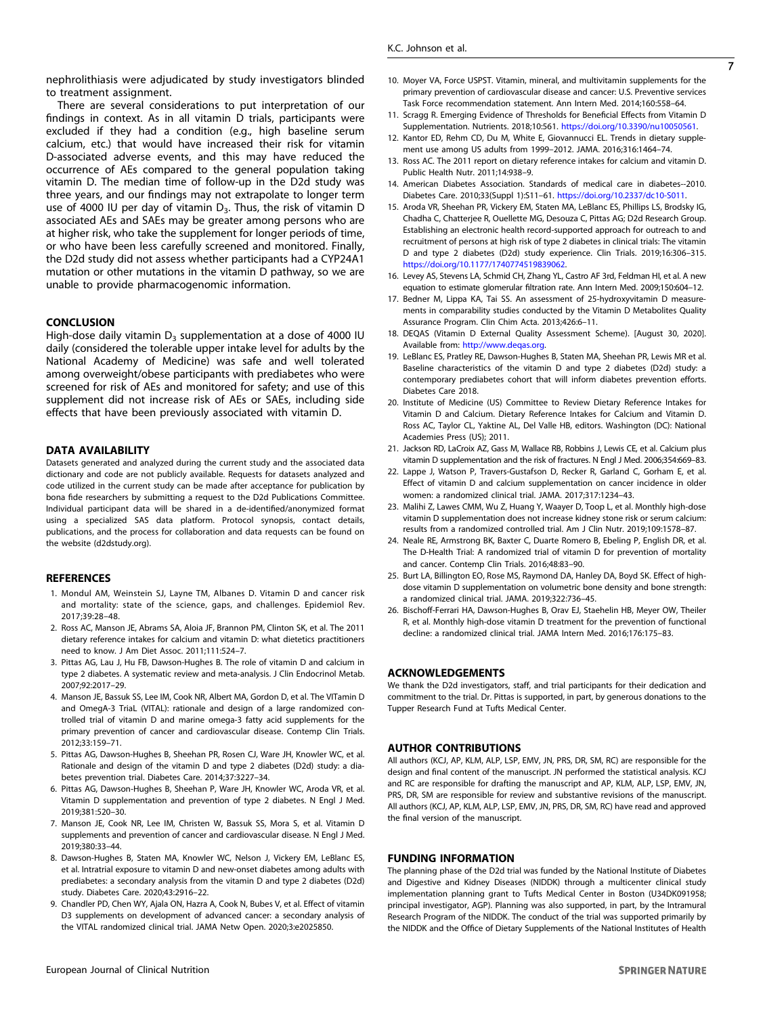<span id="page-6-0"></span>There are several considerations to put interpretation of our findings in context. As in all vitamin D trials, participants were excluded if they had a condition (e.g., high baseline serum calcium, etc.) that would have increased their risk for vitamin D-associated adverse events, and this may have reduced the occurrence of AEs compared to the general population taking vitamin D. The median time of follow-up in the D2d study was three years, and our findings may not extrapolate to longer term use of 4000 IU per day of vitamin  $D_3$ . Thus, the risk of vitamin D associated AEs and SAEs may be greater among persons who are at higher risk, who take the supplement for longer periods of time, or who have been less carefully screened and monitored. Finally, the D2d study did not assess whether participants had a CYP24A1 mutation or other mutations in the vitamin D pathway, so we are unable to provide pharmacogenomic information.

#### **CONCLUSION**

High-dose daily vitamin  $D_3$  supplementation at a dose of 4000 IU daily (considered the tolerable upper intake level for adults by the National Academy of Medicine) was safe and well tolerated among overweight/obese participants with prediabetes who were screened for risk of AEs and monitored for safety; and use of this supplement did not increase risk of AEs or SAEs, including side effects that have been previously associated with vitamin D.

#### DATA AVAILABILITY

Datasets generated and analyzed during the current study and the associated data dictionary and code are not publicly available. Requests for datasets analyzed and code utilized in the current study can be made after acceptance for publication by bona fide researchers by submitting a request to the D2d Publications Committee. Individual participant data will be shared in a de-identified/anonymized format using a specialized SAS data platform. Protocol synopsis, contact details, publications, and the process for collaboration and data requests can be found on the website (d2dstudy.org).

#### **REFERENCES**

- 1. Mondul AM, Weinstein SJ, Layne TM, Albanes D. Vitamin D and cancer risk and mortality: state of the science, gaps, and challenges. Epidemiol Rev. 2017;39:28–48.
- 2. Ross AC, Manson JE, Abrams SA, Aloia JF, Brannon PM, Clinton SK, et al. The 2011 dietary reference intakes for calcium and vitamin D: what dietetics practitioners need to know. J Am Diet Assoc. 2011;111:524–7.
- 3. Pittas AG, Lau J, Hu FB, Dawson-Hughes B. The role of vitamin D and calcium in type 2 diabetes. A systematic review and meta-analysis. J Clin Endocrinol Metab. 2007;92:2017–29.
- 4. Manson JE, Bassuk SS, Lee IM, Cook NR, Albert MA, Gordon D, et al. The VITamin D and OmegA-3 TriaL (VITAL): rationale and design of a large randomized controlled trial of vitamin D and marine omega-3 fatty acid supplements for the primary prevention of cancer and cardiovascular disease. Contemp Clin Trials. 2012;33:159–71.
- 5. Pittas AG, Dawson-Hughes B, Sheehan PR, Rosen CJ, Ware JH, Knowler WC, et al. Rationale and design of the vitamin D and type 2 diabetes (D2d) study: a diabetes prevention trial. Diabetes Care. 2014;37:3227–34.
- 6. Pittas AG, Dawson-Hughes B, Sheehan P, Ware JH, Knowler WC, Aroda VR, et al. Vitamin D supplementation and prevention of type 2 diabetes. N Engl J Med. 2019;381:520–30.
- 7. Manson JE, Cook NR, Lee IM, Christen W, Bassuk SS, Mora S, et al. Vitamin D supplements and prevention of cancer and cardiovascular disease. N Engl J Med. 2019;380:33–44.
- 8. Dawson-Hughes B, Staten MA, Knowler WC, Nelson J, Vickery EM, LeBlanc ES, et al. Intratrial exposure to vitamin D and new-onset diabetes among adults with prediabetes: a secondary analysis from the vitamin D and type 2 diabetes (D2d) study. Diabetes Care. 2020;43:2916–22.
- 9. Chandler PD, Chen WY, Ajala ON, Hazra A, Cook N, Bubes V, et al. Effect of vitamin D3 supplements on development of advanced cancer: a secondary analysis of the VITAL randomized clinical trial. JAMA Netw Open. 2020;3:e2025850.
- 10. Moyer VA, Force USPST. Vitamin, mineral, and multivitamin supplements for the primary prevention of cardiovascular disease and cancer: U.S. Preventive services Task Force recommendation statement. Ann Intern Med. 2014;160:558–64.
- 11. Scragg R. Emerging Evidence of Thresholds for Beneficial Effects from Vitamin D Supplementation. Nutrients. 2018;10:561. <https://doi.org/10.3390/nu10050561>.
- 12. Kantor ED, Rehm CD, Du M, White E, Giovannucci EL. Trends in dietary supplement use among US adults from 1999–2012. JAMA. 2016;316:1464–74.
- 13. Ross AC. The 2011 report on dietary reference intakes for calcium and vitamin D. Public Health Nutr. 2011;14:938–9.
- 14. American Diabetes Association. Standards of medical care in diabetes--2010. Diabetes Care. 2010;33(Suppl 1):S11–61. [https://doi.org/10.2337/dc10-S011.](https://doi.org/10.2337/dc10-S011)
- 15. Aroda VR, Sheehan PR, Vickery EM, Staten MA, LeBlanc ES, Phillips LS, Brodsky IG, Chadha C, Chatterjee R, Ouellette MG, Desouza C, Pittas AG; D2d Research Group. Establishing an electronic health record-supported approach for outreach to and recruitment of persons at high risk of type 2 diabetes in clinical trials: The vitamin D and type 2 diabetes (D2d) study experience. Clin Trials. 2019;16:306–315. <https://doi.org/10.1177/1740774519839062>.
- 16. Levey AS, Stevens LA, Schmid CH, Zhang YL, Castro AF 3rd, Feldman HI, et al. A new equation to estimate glomerular filtration rate. Ann Intern Med. 2009;150:604–12.
- 17. Bedner M, Lippa KA, Tai SS. An assessment of 25-hydroxyvitamin D measurements in comparability studies conducted by the Vitamin D Metabolites Quality Assurance Program. Clin Chim Acta. 2013;426:6–11.
- 18. DEQAS (Vitamin D External Quality Assessment Scheme). [August 30, 2020]. Available from: <http://www.deqas.org>.
- 19. LeBlanc ES, Pratley RE, Dawson-Hughes B, Staten MA, Sheehan PR, Lewis MR et al. Baseline characteristics of the vitamin D and type 2 diabetes (D2d) study: a contemporary prediabetes cohort that will inform diabetes prevention efforts. Diabetes Care 2018.
- 20. Institute of Medicine (US) Committee to Review Dietary Reference Intakes for Vitamin D and Calcium. Dietary Reference Intakes for Calcium and Vitamin D. Ross AC, Taylor CL, Yaktine AL, Del Valle HB, editors. Washington (DC): National Academies Press (US); 2011.
- 21. Jackson RD, LaCroix AZ, Gass M, Wallace RB, Robbins J, Lewis CE, et al. Calcium plus vitamin D supplementation and the risk of fractures. N Engl J Med. 2006;354:669–83.
- 22. Lappe J, Watson P, Travers-Gustafson D, Recker R, Garland C, Gorham E, et al. Effect of vitamin D and calcium supplementation on cancer incidence in older women: a randomized clinical trial. JAMA. 2017;317:1234–43.
- 23. Malihi Z, Lawes CMM, Wu Z, Huang Y, Waayer D, Toop L, et al. Monthly high-dose vitamin D supplementation does not increase kidney stone risk or serum calcium: results from a randomized controlled trial. Am J Clin Nutr. 2019;109:1578–87.
- 24. Neale RE, Armstrong BK, Baxter C, Duarte Romero B, Ebeling P, English DR, et al. The D-Health Trial: A randomized trial of vitamin D for prevention of mortality and cancer. Contemp Clin Trials. 2016;48:83–90.
- 25. Burt LA, Billington EO, Rose MS, Raymond DA, Hanley DA, Boyd SK. Effect of highdose vitamin D supplementation on volumetric bone density and bone strength: a randomized clinical trial. JAMA. 2019;322:736–45.
- 26. Bischoff-Ferrari HA, Dawson-Hughes B, Orav EJ, Staehelin HB, Meyer OW, Theiler R, et al. Monthly high-dose vitamin D treatment for the prevention of functional decline: a randomized clinical trial. JAMA Intern Med. 2016;176:175–83.

#### ACKNOWLEDGEMENTS

We thank the D2d investigators, staff, and trial participants for their dedication and commitment to the trial. Dr. Pittas is supported, in part, by generous donations to the Tupper Research Fund at Tufts Medical Center.

# AUTHOR CONTRIBUTIONS

All authors (KCJ, AP, KLM, ALP, LSP, EMV, JN, PRS, DR, SM, RC) are responsible for the design and final content of the manuscript. JN performed the statistical analysis. KCJ and RC are responsible for drafting the manuscript and AP, KLM, ALP, LSP, EMV, JN, PRS, DR, SM are responsible for review and substantive revisions of the manuscript. All authors (KCJ, AP, KLM, ALP, LSP, EMV, JN, PRS, DR, SM, RC) have read and approved the final version of the manuscript.

#### FUNDING INFORMATION

The planning phase of the D2d trial was funded by the National Institute of Diabetes and Digestive and Kidney Diseases (NIDDK) through a multicenter clinical study implementation planning grant to Tufts Medical Center in Boston (U34DK091958; principal investigator, AGP). Planning was also supported, in part, by the Intramural Research Program of the NIDDK. The conduct of the trial was supported primarily by the NIDDK and the Office of Dietary Supplements of the National Institutes of Health